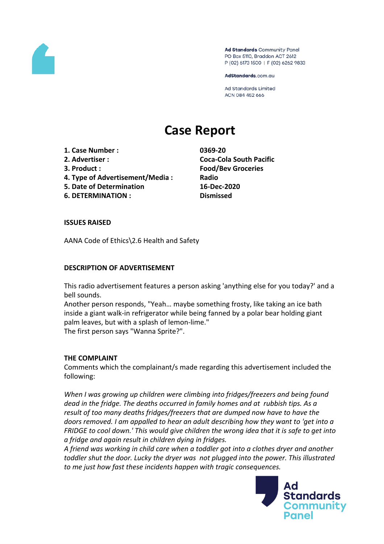

Ad Standards Community Panel PO Box 5110, Braddon ACT 2612 P (02) 6173 1500 | F (02) 6262 9833

AdStandards.com.au

**Ad Standards Limited** ACN 084 452 666

# **Case Report**

**1. Case Number : 0369-20**

- 
- 
- **4. Type of Advertisement/Media : Radio**
- **5. Date of Determination 16-Dec-2020**
- **6. DETERMINATION : Dismissed**

**2. Advertiser : Coca-Cola South Pacific 3. Product : Food/Bev Groceries**

## **ISSUES RAISED**

AANA Code of Ethics\2.6 Health and Safety

## **DESCRIPTION OF ADVERTISEMENT**

This radio advertisement features a person asking 'anything else for you today?' and a bell sounds.

Another person responds, "Yeah… maybe something frosty, like taking an ice bath inside a giant walk-in refrigerator while being fanned by a polar bear holding giant palm leaves, but with a splash of lemon-lime."

The first person says "Wanna Sprite?".

# **THE COMPLAINT**

Comments which the complainant/s made regarding this advertisement included the following:

*When I was growing up children were climbing into fridges/freezers and being found dead in the fridge. The deaths occurred in family homes and at rubbish tips. As a result of too many deaths fridges/freezers that are dumped now have to have the doors removed. I am appalled to hear an adult describing how they want to 'get into a FRIDGE to cool down.' This would give children the wrong idea that it is safe to get into a fridge and again result in children dying in fridges.*

*A friend was working in child care when a toddler got into a clothes dryer and another toddler shut the door. Lucky the dryer was not plugged into the power. This illustrated to me just how fast these incidents happen with tragic consequences.*

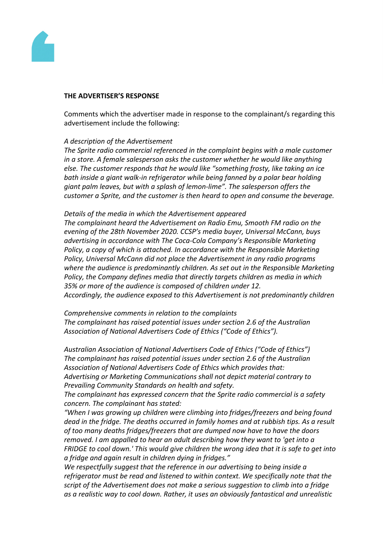

#### **THE ADVERTISER'S RESPONSE**

Comments which the advertiser made in response to the complainant/s regarding this advertisement include the following:

#### *A description of the Advertisement*

*The Sprite radio commercial referenced in the complaint begins with a male customer in a store. A female salesperson asks the customer whether he would like anything else. The customer responds that he would like "something frosty, like taking an ice bath inside a giant walk-in refrigerator while being fanned by a polar bear holding giant palm leaves, but with a splash of lemon-lime". The salesperson offers the customer a Sprite, and the customer is then heard to open and consume the beverage.*

#### *Details of the media in which the Advertisement appeared*

*The complainant heard the Advertisement on Radio Emu, Smooth FM radio on the evening of the 28th November 2020. CCSP's media buyer, Universal McCann, buys advertising in accordance with The Coca-Cola Company's Responsible Marketing Policy, a copy of which is attached. In accordance with the Responsible Marketing Policy, Universal McCann did not place the Advertisement in any radio programs where the audience is predominantly children. As set out in the Responsible Marketing Policy, the Company defines media that directly targets children as media in which 35% or more of the audience is composed of children under 12. Accordingly, the audience exposed to this Advertisement is not predominantly children*

*Comprehensive comments in relation to the complaints The complainant has raised potential issues under section 2.6 of the Australian Association of National Advertisers Code of Ethics ("Code of Ethics").*

*Australian Association of National Advertisers Code of Ethics ("Code of Ethics") The complainant has raised potential issues under section 2.6 of the Australian Association of National Advertisers Code of Ethics which provides that: Advertising or Marketing Communications shall not depict material contrary to Prevailing Community Standards on health and safety.*

*The complainant has expressed concern that the Sprite radio commercial is a safety concern. The complainant has stated:*

*"When I was growing up children were climbing into fridges/freezers and being found dead in the fridge. The deaths occurred in family homes and at rubbish tips. As a result of too many deaths fridges/freezers that are dumped now have to have the doors removed. I am appalled to hear an adult describing how they want to 'get into a FRIDGE to cool down.' This would give children the wrong idea that it is safe to get into a fridge and again result in children dying in fridges."*

*We respectfully suggest that the reference in our advertising to being inside a refrigerator must be read and listened to within context. We specifically note that the script of the Advertisement does not make a serious suggestion to climb into a fridge as a realistic way to cool down. Rather, it uses an obviously fantastical and unrealistic*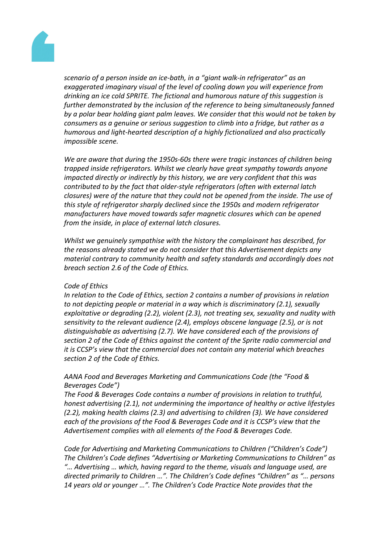

*scenario of a person inside an ice-bath, in a "giant walk-in refrigerator" as an exaggerated imaginary visual of the level of cooling down you will experience from drinking an ice cold SPRITE. The fictional and humorous nature of this suggestion is further demonstrated by the inclusion of the reference to being simultaneously fanned by a polar bear holding giant palm leaves. We consider that this would not be taken by consumers as a genuine or serious suggestion to climb into a fridge, but rather as a humorous and light-hearted description of a highly fictionalized and also practically impossible scene.*

*We are aware that during the 1950s-60s there were tragic instances of children being trapped inside refrigerators. Whilst we clearly have great sympathy towards anyone impacted directly or indirectly by this history, we are very confident that this was contributed to by the fact that older-style refrigerators (often with external latch closures) were of the nature that they could not be opened from the inside. The use of this style of refrigerator sharply declined since the 1950s and modern refrigerator manufacturers have moved towards safer magnetic closures which can be opened from the inside, in place of external latch closures.*

*Whilst we genuinely sympathise with the history the complainant has described, for the reasons already stated we do not consider that this Advertisement depicts any material contrary to community health and safety standards and accordingly does not breach section 2.6 of the Code of Ethics.*

#### *Code of Ethics*

*In relation to the Code of Ethics, section 2 contains a number of provisions in relation to not depicting people or material in a way which is discriminatory (2.1), sexually exploitative or degrading (2.2), violent (2.3), not treating sex, sexuality and nudity with sensitivity to the relevant audience (2.4), employs obscene language (2.5), or is not distinguishable as advertising (2.7). We have considered each of the provisions of section 2 of the Code of Ethics against the content of the Sprite radio commercial and it is CCSP's view that the commercial does not contain any material which breaches section 2 of the Code of Ethics.*

# *AANA Food and Beverages Marketing and Communications Code (the "Food & Beverages Code")*

*The Food & Beverages Code contains a number of provisions in relation to truthful, honest advertising (2.1), not undermining the importance of healthy or active lifestyles (2.2), making health claims (2.3) and advertising to children (3). We have considered each of the provisions of the Food & Beverages Code and it is CCSP's view that the Advertisement complies with all elements of the Food & Beverages Code.*

*Code for Advertising and Marketing Communications to Children ("Children's Code") The Children's Code defines "Advertising or Marketing Communications to Children" as "… Advertising … which, having regard to the theme, visuals and language used, are directed primarily to Children …". The Children's Code defines "Children" as "… persons 14 years old or younger …". The Children's Code Practice Note provides that the*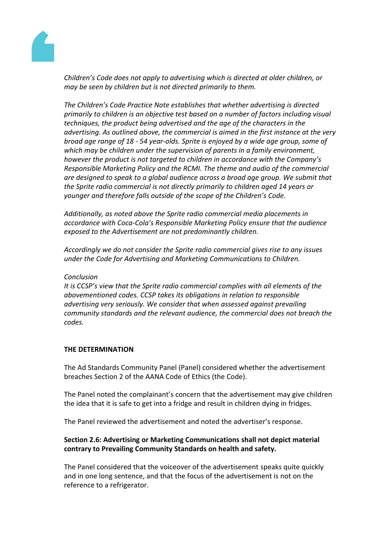

*Children's Code does not apply to advertising which is directed at older children, or may be seen by children but is not directed primarily to them.*

*The Children's Code Practice Note establishes that whether advertising is directed primarily to children is an objective test based on a number of factors including visual techniques, the product being advertised and the age of the characters in the advertising. As outlined above, the commercial is aimed in the first instance at the very broad age range of 18 - 54 year-olds. Sprite is enjoyed by a wide age group, some of which may be children under the supervision of parents in a family environment, however the product is not targeted to children in accordance with the Company's Responsible Marketing Policy and the RCMI. The theme and audio of the commercial are designed to speak to a global audience across a broad age group. We submit that the Sprite radio commercial is not directly primarily to children aged 14 years or younger and therefore falls outside of the scope of the Children's Code.*

*Additionally, as noted above the Sprite radio commercial media placements in accordance with Coca-Cola's Responsible Marketing Policy ensure that the audience exposed to the Advertisement are not predominantly children.*

*Accordingly we do not consider the Sprite radio commercial gives rise to any issues under the Code for Advertising and Marketing Communications to Children.*

## *Conclusion*

*It is CCSP's view that the Sprite radio commercial complies with all elements of the abovementioned codes. CCSP takes its obligations in relation to responsible advertising very seriously. We consider that when assessed against prevailing community standards and the relevant audience, the commercial does not breach the codes.*

# **THE DETERMINATION**

The Ad Standards Community Panel (Panel) considered whether the advertisement breaches Section 2 of the AANA Code of Ethics (the Code).

The Panel noted the complainant's concern that the advertisement may give children the idea that it is safe to get into a fridge and result in children dying in fridges.

The Panel reviewed the advertisement and noted the advertiser's response.

# **Section 2.6: Advertising or Marketing Communications shall not depict material contrary to Prevailing Community Standards on health and safety.**

The Panel considered that the voiceover of the advertisement speaks quite quickly and in one long sentence, and that the focus of the advertisement is not on the reference to a refrigerator.